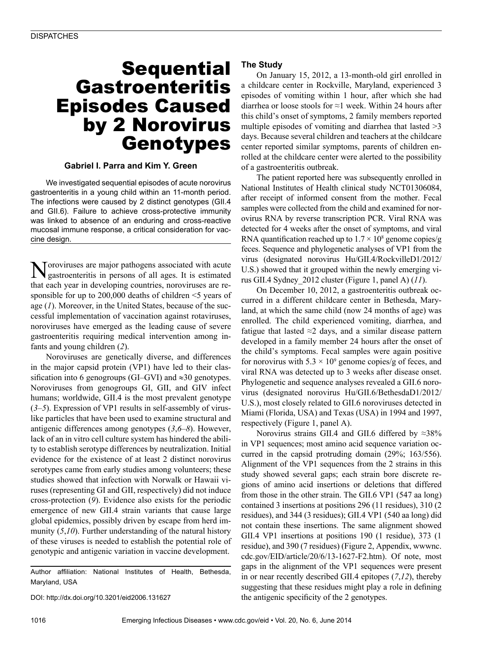# **Sequential** Gastroenteritis Episodes Caused by 2 Norovirus Genotypes

## **Gabriel I. Parra and Kim Y. Green**

We investigated sequential episodes of acute norovirus gastroenteritis in a young child within an 11-month period. The infections were caused by 2 distinct genotypes (GII.4 and GII.6). Failure to achieve cross-protective immunity was linked to absence of an enduring and cross-reactive mucosal immune response, a critical consideration for vaccine design.

Toroviruses are major pathogens associated with acute gastroenteritis in persons of all ages. It is estimated that each year in developing countries, noroviruses are responsible for up to 200,000 deaths of children <5 years of age (*1*). Moreover, in the United States, because of the successful implementation of vaccination against rotaviruses, noroviruses have emerged as the leading cause of severe gastroenteritis requiring medical intervention among infants and young children (*2*).

Noroviruses are genetically diverse, and differences in the major capsid protein (VP1) have led to their classification into 6 genogroups (GI–GVI) and  $\approx 30$  genotypes. Noroviruses from genogroups GI, GII, and GIV infect humans; worldwide, GII.4 is the most prevalent genotype (*3*–*5*). Expression of VP1 results in self-assembly of viruslike particles that have been used to examine structural and antigenic differences among genotypes (*3*,*6*–*8*). However, lack of an in vitro cell culture system has hindered the ability to establish serotype differences by neutralization. Initial evidence for the existence of at least 2 distinct norovirus serotypes came from early studies among volunteers; these studies showed that infection with Norwalk or Hawaii viruses (representing GI and GII, respectively) did not induce cross-protection (*9*). Evidence also exists for the periodic emergence of new GII.4 strain variants that cause large global epidemics, possibly driven by escape from herd immunity (*5*,*10*). Further understanding of the natural history of these viruses is needed to establish the potential role of genotypic and antigenic variation in vaccine development.

Author affiliation: National Institutes of Health, Bethesda, Maryland, USA

DOI: http://dx.doi.org/10.3201/eid2006.131627

## **The Study**

On January 15, 2012, a 13-month-old girl enrolled in a childcare center in Rockville, Maryland, experienced 3 episodes of vomiting within 1 hour, after which she had diarrhea or loose stools for ≈1 week. Within 24 hours after this child's onset of symptoms, 2 family members reported multiple episodes of vomiting and diarrhea that lasted  $\geq 3$ days. Because several children and teachers at the childcare center reported similar symptoms, parents of children enrolled at the childcare center were alerted to the possibility of a gastroenteritis outbreak.

The patient reported here was subsequently enrolled in National Institutes of Health clinical study NCT01306084, after receipt of informed consent from the mother. Fecal samples were collected from the child and examined for norovirus RNA by reverse transcription PCR. Viral RNA was detected for 4 weeks after the onset of symptoms, and viral RNA quantification reached up to  $1.7 \times 10^8$  genome copies/g feces. Sequence and phylogenetic analyses of VP1 from the virus (designated norovirus Hu/GII.4/RockvilleD1/2012/ U.S.) showed that it grouped within the newly emerging virus GII.4 Sydney\_2012 cluster (Figure 1, panel A) (*11*).

On December 10, 2012, a gastroenteritis outbreak occurred in a different childcare center in Bethesda, Maryland, at which the same child (now 24 months of age) was enrolled. The child experienced vomiting, diarrhea, and fatigue that lasted  $\approx$ 2 days, and a similar disease pattern developed in a family member 24 hours after the onset of the child's symptoms. Fecal samples were again positive for norovirus with  $5.3 \times 10^9$  genome copies/g of feces, and viral RNA was detected up to 3 weeks after disease onset. Phylogenetic and sequence analyses revealed a GII.6 norovirus (designated norovirus Hu/GII.6/BethesdaD1/2012/ U.S.), most closely related to GII.6 noroviruses detected in Miami (Florida, USA) and Texas (USA) in 1994 and 1997, respectively (Figure 1, panel A).

Norovirus strains GII.4 and GII.6 differed by  $\approx 38\%$ in VP1 sequences; most amino acid sequence variation occurred in the capsid protruding domain (29%; 163/556). Alignment of the VP1 sequences from the 2 strains in this study showed several gaps; each strain bore discrete regions of amino acid insertions or deletions that differed from those in the other strain. The GII.6 VP1 (547 aa long) contained 3 insertions at positions 296 (11 residues), 310 (2 residues), and 344 (3 residues); GII.4 VP1 (540 aa long) did not contain these insertions. The same alignment showed GII.4 VP1 insertions at positions 190 (1 residue), 373 (1 residue), and 390 (7 residues) (Figure 2, Appendix, wwwnc. cdc.gov/EID/article/20/6/13-1627-F2.htm). Of note, most gaps in the alignment of the VP1 sequences were present in or near recently described GII.4 epitopes (*7*,*12*), thereby suggesting that these residues might play a role in defining the antigenic specificity of the 2 genotypes.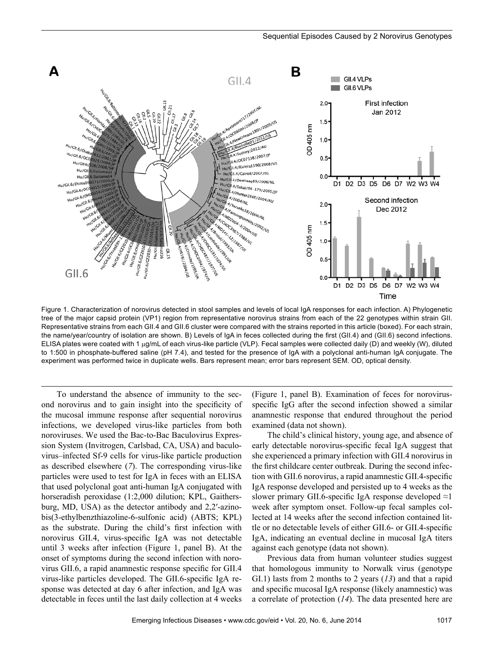

Figure 1. Characterization of norovirus detected in stool samples and levels of local IgA responses for each infection. A) Phylogenetic tree of the major capsid protein (VP1) region from representative norovirus strains from each of the 22 genotypes within strain GII. Representative strains from each GII.4 and GII.6 cluster were compared with the strains reported in this article (boxed). For each strain, the name/year/country of isolation are shown. B) Levels of IgA in feces collected during the first (GII.4) and (GII.6) second infections. ELISA plates were coated with 1 µg/mL of each virus-like particle (VLP). Fecal samples were collected daily (D) and weekly (W), diluted to 1:500 in phosphate-buffered saline (pH 7.4), and tested for the presence of IgA with a polyclonal anti-human IgA conjugate. The experiment was performed twice in duplicate wells. Bars represent mean; error bars represent SEM. OD, optical density.

To understand the absence of immunity to the second norovirus and to gain insight into the specificity of the mucosal immune response after sequential norovirus infections, we developed virus-like particles from both noroviruses. We used the Bac-to-Bac Baculovirus Expression System (Invitrogen, Carlsbad, CA, USA) and baculovirus–infected Sf-9 cells for virus-like particle production as described elsewhere (*7*). The corresponding virus-like particles were used to test for IgA in feces with an ELISA that used polyclonal goat anti-human IgA conjugated with horseradish peroxidase (1:2,000 dilution; KPL, Gaithersburg, MD, USA) as the detector antibody and 2,2′-azinobis(3-ethylbenzthiazoline-6-sulfonic acid) (ABTS; KPL) as the substrate. During the child's first infection with norovirus GII.4, virus-specific IgA was not detectable until 3 weeks after infection (Figure 1, panel B). At the onset of symptoms during the second infection with norovirus GII.6, a rapid anamnestic response specific for GII.4 virus-like particles developed. The GII.6-specific IgA response was detected at day 6 after infection, and IgA was detectable in feces until the last daily collection at 4 weeks

(Figure 1, panel B). Examination of feces for norovirusspecific IgG after the second infection showed a similar anamnestic response that endured throughout the period examined (data not shown).

The child's clinical history, young age, and absence of early detectable norovirus-specific fecal IgA suggest that she experienced a primary infection with GII.4 norovirus in the first childcare center outbreak. During the second infection with GII.6 norovirus, a rapid anamnestic GII.4-specific IgA response developed and persisted up to 4 weeks as the slower primary GII.6-specific IgA response developed  $\approx$ 1 week after symptom onset. Follow-up fecal samples collected at 14 weeks after the second infection contained little or no detectable levels of either GII.6- or GII.4-specific IgA, indicating an eventual decline in mucosal IgA titers against each genotype (data not shown).

Previous data from human volunteer studies suggest that homologous immunity to Norwalk virus (genotype GI.1) lasts from 2 months to 2 years (*13*) and that a rapid and specific mucosal IgA response (likely anamnestic) was a correlate of protection (*14*). The data presented here are